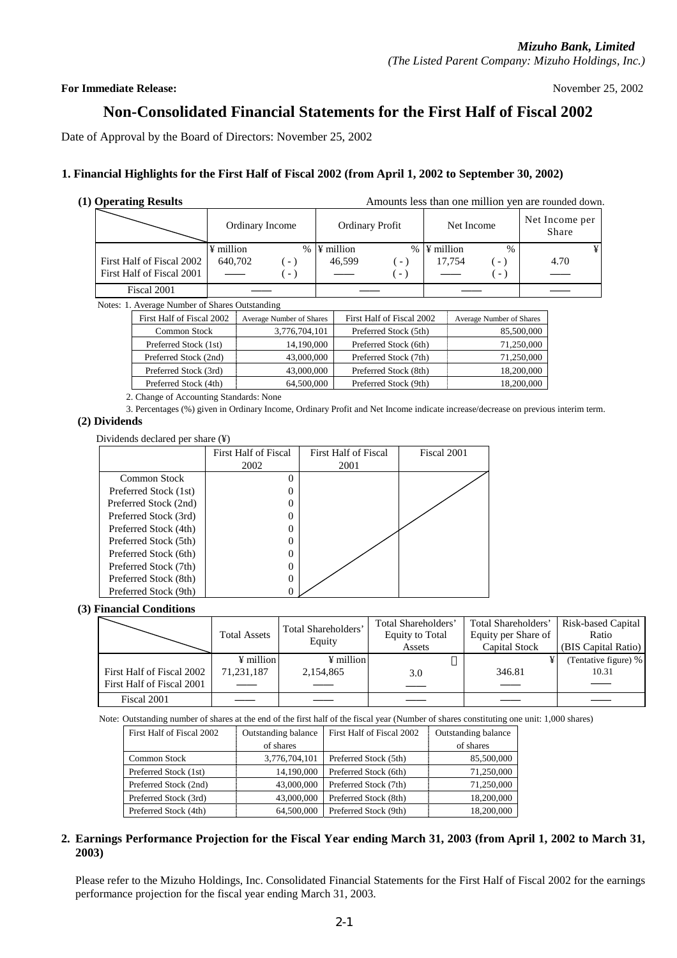#### **For Immediate Release:** November 25, 2002

## **Non-Consolidated Financial Statements for the First Half of Fiscal 2002**

Date of Approval by the Board of Directors: November 25, 2002

#### **1. Financial Highlights for the First Half of Fiscal 2002 (from April 1, 2002 to September 30, 2002)**

**(1) Operating Results** Amounts less than one million yen are rounded down.

|                                          | Ordinary Income      |        | <b>Ordinary Profit</b>     |                          | Net Income                 |                                  | Net Income per<br>Share |   |
|------------------------------------------|----------------------|--------|----------------------------|--------------------------|----------------------------|----------------------------------|-------------------------|---|
| First Half of Fiscal 2002                | ¥ million<br>640.702 | $(-,$  | $% \Psi$ million<br>46.599 | - 1                      | $% \Psi$ million<br>17.754 | $\%$<br>$\overline{\phantom{a}}$ | 4.70                    | ¥ |
| First Half of Fiscal 2001<br>Fiscal 2001 |                      | $\sim$ |                            | $\overline{\phantom{0}}$ |                            | $\overline{\phantom{0}}$         |                         |   |

Notes: 1. Average Number of Shares Outstanding

| First Half of Fiscal 2002 | Average Number of Shares | First Half of Fiscal 2002 | Average Number of Shares |
|---------------------------|--------------------------|---------------------------|--------------------------|
| <b>Common Stock</b>       | 3,776,704,101            | Preferred Stock (5th)     | 85,500,000               |
| Preferred Stock (1st)     | 14,190,000               | Preferred Stock (6th)     | 71,250,000               |
| Preferred Stock (2nd)     | 43,000,000               | Preferred Stock (7th)     | 71,250,000               |
| Preferred Stock (3rd)     | 43,000,000               | Preferred Stock (8th)     | 18,200,000               |
| Preferred Stock (4th)     | 64,500,000               | Preferred Stock (9th)     | 18,200,000               |

2. Change of Accounting Standards: None

3. Percentages (%) given in Ordinary Income, Ordinary Profit and Net Income indicate increase/decrease on previous interim term.

#### **(2) Dividends**

Dividends declared per share (¥)

|                       | <b>First Half of Fiscal</b> | First Half of Fiscal | Fiscal 2001 |
|-----------------------|-----------------------------|----------------------|-------------|
|                       | 2002                        | 2001                 |             |
| Common Stock          | 0                           |                      |             |
| Preferred Stock (1st) | 0                           |                      |             |
| Preferred Stock (2nd) | 0                           |                      |             |
| Preferred Stock (3rd) | 0                           |                      |             |
| Preferred Stock (4th) | 0                           |                      |             |
| Preferred Stock (5th) | $\theta$                    |                      |             |
| Preferred Stock (6th) | 0                           |                      |             |
| Preferred Stock (7th) | 0                           |                      |             |
| Preferred Stock (8th) | 0                           |                      |             |
| Preferred Stock (9th) |                             |                      |             |

#### **(3) Financial Conditions**

|                                                        | <b>Total Assets</b>                 | Total Shareholders'<br>Equity      | Total Shareholders'<br><b>Equity to Total</b><br>Assets | Total Shareholders'<br>Equity per Share of<br>Capital Stock | Risk-based Capital<br>Ratio<br>(BIS Capital Ratio) |
|--------------------------------------------------------|-------------------------------------|------------------------------------|---------------------------------------------------------|-------------------------------------------------------------|----------------------------------------------------|
| First Half of Fiscal 2002<br>First Half of Fiscal 2001 | $\frac{1}{2}$ million<br>71,231,187 | $\frac{1}{2}$ million<br>2,154,865 | 3.0                                                     | 346.81                                                      | (Tentative figure) %<br>10.31                      |
| Fiscal 2001                                            |                                     |                                    |                                                         |                                                             |                                                    |

Note: Outstanding number of shares at the end of the first half of the fiscal year (Number of shares constituting one unit: 1,000 shares)

| First Half of Fiscal 2002 | Outstanding balance<br>First Half of Fiscal 2002 |                       | <b>Outstanding balance</b> |  |
|---------------------------|--------------------------------------------------|-----------------------|----------------------------|--|
|                           | of shares                                        |                       | of shares                  |  |
| <b>Common Stock</b>       | 3,776,704,101                                    | Preferred Stock (5th) | 85,500,000                 |  |
| Preferred Stock (1st)     | 14,190,000                                       | Preferred Stock (6th) | 71,250,000                 |  |
| Preferred Stock (2nd)     | 43,000,000                                       | Preferred Stock (7th) | 71,250,000                 |  |
| Preferred Stock (3rd)     | 43,000,000                                       | Preferred Stock (8th) | 18,200,000                 |  |
| Preferred Stock (4th)     | 64,500,000                                       | Preferred Stock (9th) | 18,200,000                 |  |

#### **2. Earnings Performance Projection for the Fiscal Year ending March 31, 2003 (from April 1, 2002 to March 31, 2003)**

Please refer to the Mizuho Holdings, Inc. Consolidated Financial Statements for the First Half of Fiscal 2002 for the earnings performance projection for the fiscal year ending March 31, 2003.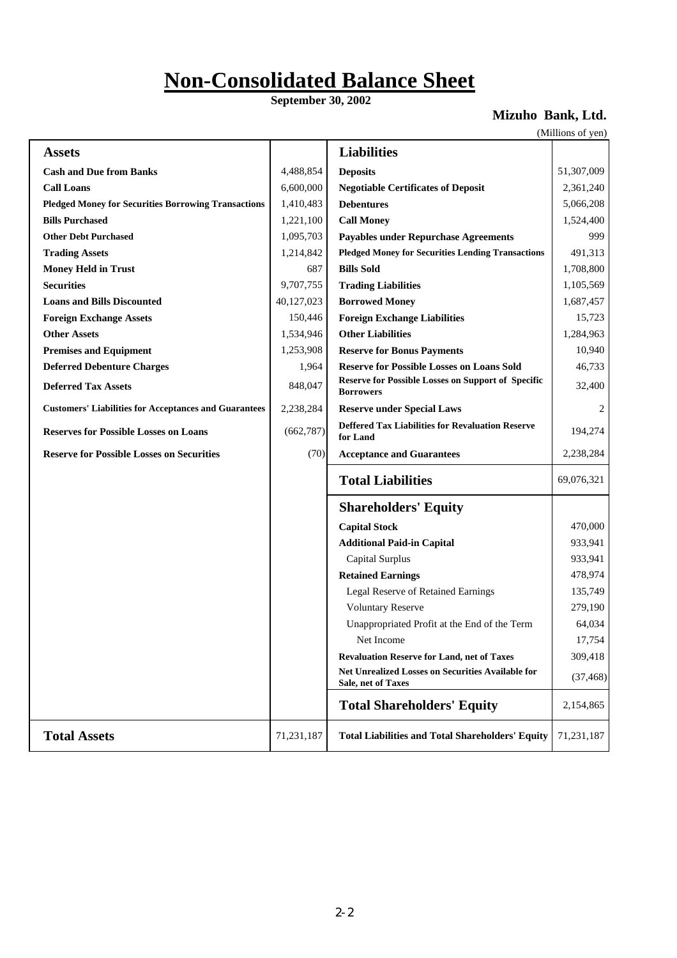# **Non-Consolidated Balance Sheet**

 **September 30, 2002**

## **Mizuho Bank, Ltd.**

(Millions of yen)

| <b>Assets</b>                                                |            | <b>Liabilities</b>                                                            |            |
|--------------------------------------------------------------|------------|-------------------------------------------------------------------------------|------------|
| <b>Cash and Due from Banks</b>                               | 4,488,854  | <b>Deposits</b>                                                               | 51,307,009 |
| <b>Call Loans</b>                                            | 6,600,000  | <b>Negotiable Certificates of Deposit</b>                                     | 2,361,240  |
| <b>Pledged Money for Securities Borrowing Transactions</b>   | 1,410,483  | <b>Debentures</b>                                                             | 5,066,208  |
| <b>Bills Purchased</b>                                       | 1,221,100  | <b>Call Money</b>                                                             | 1,524,400  |
| <b>Other Debt Purchased</b>                                  | 1,095,703  | <b>Payables under Repurchase Agreements</b>                                   | 999        |
| <b>Trading Assets</b>                                        | 1,214,842  | <b>Pledged Money for Securities Lending Transactions</b>                      | 491,313    |
| <b>Money Held in Trust</b>                                   | 687        | <b>Bills Sold</b>                                                             | 1,708,800  |
| <b>Securities</b>                                            | 9,707,755  | <b>Trading Liabilities</b>                                                    | 1,105,569  |
| <b>Loans and Bills Discounted</b>                            | 40,127,023 | <b>Borrowed Money</b>                                                         | 1,687,457  |
| <b>Foreign Exchange Assets</b>                               | 150,446    | <b>Foreign Exchange Liabilities</b>                                           | 15,723     |
| <b>Other Assets</b>                                          | 1,534,946  | <b>Other Liabilities</b>                                                      | 1,284,963  |
| <b>Premises and Equipment</b>                                | 1,253,908  | <b>Reserve for Bonus Payments</b>                                             | 10,940     |
| <b>Deferred Debenture Charges</b>                            | 1,964      | <b>Reserve for Possible Losses on Loans Sold</b>                              | 46,733     |
| <b>Deferred Tax Assets</b>                                   | 848,047    | <b>Reserve for Possible Losses on Support of Specific</b><br><b>Borrowers</b> | 32,400     |
| <b>Customers' Liabilities for Acceptances and Guarantees</b> | 2,238,284  | <b>Reserve under Special Laws</b>                                             | 2          |
| <b>Reserves for Possible Losses on Loans</b>                 | (662, 787) | <b>Deffered Tax Liabilities for Revaluation Reserve</b><br>for Land           | 194,274    |
|                                                              |            |                                                                               |            |
| <b>Reserve for Possible Losses on Securities</b>             | (70)       | <b>Acceptance and Guarantees</b>                                              | 2,238,284  |
|                                                              |            | <b>Total Liabilities</b>                                                      | 69,076,321 |
|                                                              |            | <b>Shareholders' Equity</b>                                                   |            |
|                                                              |            | <b>Capital Stock</b>                                                          | 470,000    |
|                                                              |            | <b>Additional Paid-in Capital</b>                                             | 933,941    |
|                                                              |            | Capital Surplus                                                               | 933,941    |
|                                                              |            | <b>Retained Earnings</b>                                                      | 478,974    |
|                                                              |            | Legal Reserve of Retained Earnings                                            | 135,749    |
|                                                              |            | <b>Voluntary Reserve</b>                                                      | 279,190    |
|                                                              |            | Unappropriated Profit at the End of the Term                                  | 64,034     |
|                                                              |            | Net Income                                                                    | 17,754     |
|                                                              |            | <b>Revaluation Reserve for Land, net of Taxes</b>                             | 309,418    |
|                                                              |            | Net Unrealized Losses on Securities Available for<br>Sale, net of Taxes       | (37, 468)  |
|                                                              |            | <b>Total Shareholders' Equity</b>                                             | 2,154,865  |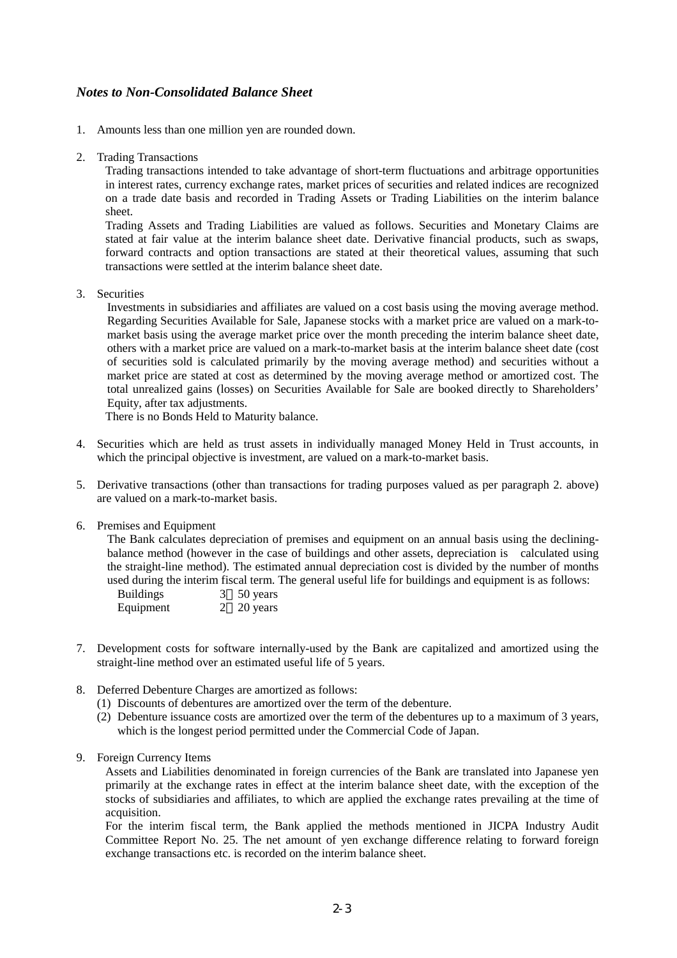### *Notes to Non-Consolidated Balance Sheet*

- 1. Amounts less than one million yen are rounded down.
- 2. Trading Transactions

Trading transactions intended to take advantage of short-term fluctuations and arbitrage opportunities in interest rates, currency exchange rates, market prices of securities and related indices are recognized on a trade date basis and recorded in Trading Assets or Trading Liabilities on the interim balance sheet.

Trading Assets and Trading Liabilities are valued as follows. Securities and Monetary Claims are stated at fair value at the interim balance sheet date. Derivative financial products, such as swaps, forward contracts and option transactions are stated at their theoretical values, assuming that such transactions were settled at the interim balance sheet date.

3. Securities

Investments in subsidiaries and affiliates are valued on a cost basis using the moving average method. Regarding Securities Available for Sale, Japanese stocks with a market price are valued on a mark-tomarket basis using the average market price over the month preceding the interim balance sheet date, others with a market price are valued on a mark-to-market basis at the interim balance sheet date (cost of securities sold is calculated primarily by the moving average method) and securities without a market price are stated at cost as determined by the moving average method or amortized cost. The total unrealized gains (losses) on Securities Available for Sale are booked directly to Shareholders' Equity, after tax adjustments.

There is no Bonds Held to Maturity balance.

- 4. Securities which are held as trust assets in individually managed Money Held in Trust accounts, in which the principal objective is investment, are valued on a mark-to-market basis.
- 5. Derivative transactions (other than transactions for trading purposes valued as per paragraph 2. above) are valued on a mark-to-market basis.
- 6. Premises and Equipment

The Bank calculates depreciation of premises and equipment on an annual basis using the decliningbalance method (however in the case of buildings and other assets, depreciation is calculated using the straight-line method). The estimated annual depreciation cost is divided by the number of months used during the interim fiscal term. The general useful life for buildings and equipment is as follows:

| <b>Buildings</b> | 50 years                  |
|------------------|---------------------------|
| Equipment        | $2\quad 20 \text{ years}$ |

- 7. Development costs for software internally-used by the Bank are capitalized and amortized using the straight-line method over an estimated useful life of 5 years.
- 8. Deferred Debenture Charges are amortized as follows:
	- (1) Discounts of debentures are amortized over the term of the debenture.
	- (2) Debenture issuance costs are amortized over the term of the debentures up to a maximum of 3 years, which is the longest period permitted under the Commercial Code of Japan.
- 9. Foreign Currency Items

Assets and Liabilities denominated in foreign currencies of the Bank are translated into Japanese yen primarily at the exchange rates in effect at the interim balance sheet date, with the exception of the stocks of subsidiaries and affiliates, to which are applied the exchange rates prevailing at the time of acquisition.

For the interim fiscal term, the Bank applied the methods mentioned in JICPA Industry Audit Committee Report No. 25. The net amount of yen exchange difference relating to forward foreign exchange transactions etc. is recorded on the interim balance sheet.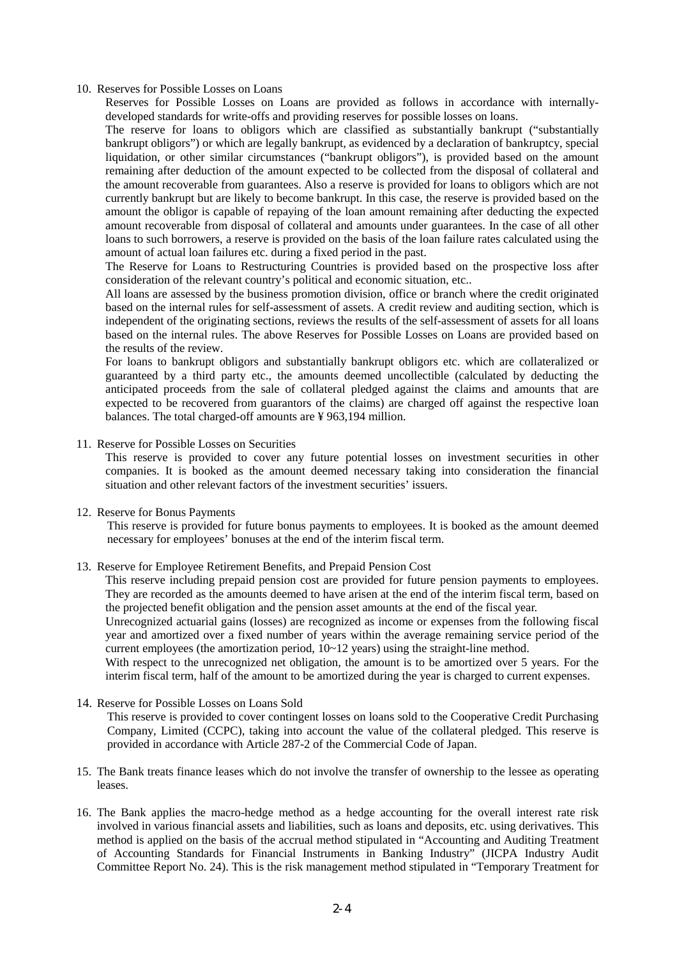#### 10. Reserves for Possible Losses on Loans

Reserves for Possible Losses on Loans are provided as follows in accordance with internallydeveloped standards for write-offs and providing reserves for possible losses on loans.

The reserve for loans to obligors which are classified as substantially bankrupt ("substantially bankrupt obligors") or which are legally bankrupt, as evidenced by a declaration of bankruptcy, special liquidation, or other similar circumstances ("bankrupt obligors"), is provided based on the amount remaining after deduction of the amount expected to be collected from the disposal of collateral and the amount recoverable from guarantees. Also a reserve is provided for loans to obligors which are not currently bankrupt but are likely to become bankrupt. In this case, the reserve is provided based on the amount the obligor is capable of repaying of the loan amount remaining after deducting the expected amount recoverable from disposal of collateral and amounts under guarantees. In the case of all other loans to such borrowers, a reserve is provided on the basis of the loan failure rates calculated using the amount of actual loan failures etc. during a fixed period in the past.

The Reserve for Loans to Restructuring Countries is provided based on the prospective loss after consideration of the relevant country's political and economic situation, etc..

All loans are assessed by the business promotion division, office or branch where the credit originated based on the internal rules for self-assessment of assets. A credit review and auditing section, which is independent of the originating sections, reviews the results of the self-assessment of assets for all loans based on the internal rules. The above Reserves for Possible Losses on Loans are provided based on the results of the review.

For loans to bankrupt obligors and substantially bankrupt obligors etc. which are collateralized or guaranteed by a third party etc., the amounts deemed uncollectible (calculated by deducting the anticipated proceeds from the sale of collateral pledged against the claims and amounts that are expected to be recovered from guarantors of the claims) are charged off against the respective loan balances. The total charged-off amounts are ¥ 963,194 million.

#### 11. Reserve for Possible Losses on Securities

This reserve is provided to cover any future potential losses on investment securities in other companies. It is booked as the amount deemed necessary taking into consideration the financial situation and other relevant factors of the investment securities' issuers.

#### 12. Reserve for Bonus Payments

This reserve is provided for future bonus payments to employees. It is booked as the amount deemed necessary for employees' bonuses at the end of the interim fiscal term.

#### 13. Reserve for Employee Retirement Benefits, and Prepaid Pension Cost

This reserve including prepaid pension cost are provided for future pension payments to employees. They are recorded as the amounts deemed to have arisen at the end of the interim fiscal term, based on the projected benefit obligation and the pension asset amounts at the end of the fiscal year.

Unrecognized actuarial gains (losses) are recognized as income or expenses from the following fiscal year and amortized over a fixed number of years within the average remaining service period of the current employees (the amortization period, 10~12 years) using the straight-line method.

With respect to the unrecognized net obligation, the amount is to be amortized over 5 years. For the interim fiscal term, half of the amount to be amortized during the year is charged to current expenses.

#### 14. Reserve for Possible Losses on Loans Sold

This reserve is provided to cover contingent losses on loans sold to the Cooperative Credit Purchasing Company, Limited (CCPC), taking into account the value of the collateral pledged. This reserve is provided in accordance with Article 287-2 of the Commercial Code of Japan.

- 15. The Bank treats finance leases which do not involve the transfer of ownership to the lessee as operating leases.
- 16. The Bank applies the macro-hedge method as a hedge accounting for the overall interest rate risk involved in various financial assets and liabilities, such as loans and deposits, etc. using derivatives. This method is applied on the basis of the accrual method stipulated in "Accounting and Auditing Treatment of Accounting Standards for Financial Instruments in Banking Industry" (JICPA Industry Audit Committee Report No. 24). This is the risk management method stipulated in "Temporary Treatment for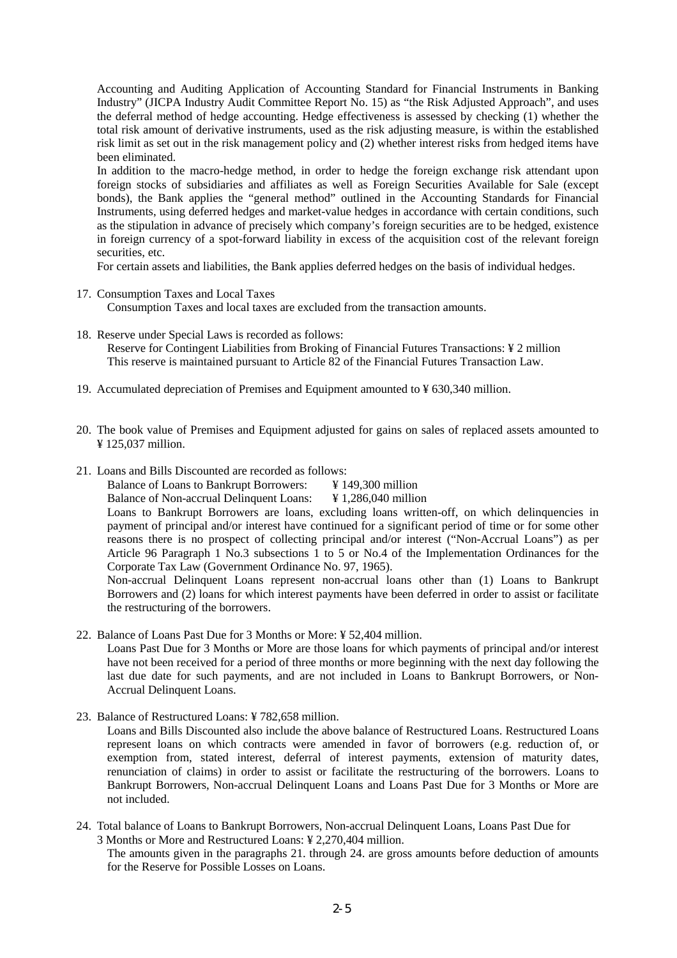Accounting and Auditing Application of Accounting Standard for Financial Instruments in Banking Industry" (JICPA Industry Audit Committee Report No. 15) as "the Risk Adjusted Approach", and uses the deferral method of hedge accounting. Hedge effectiveness is assessed by checking (1) whether the total risk amount of derivative instruments, used as the risk adjusting measure, is within the established risk limit as set out in the risk management policy and (2) whether interest risks from hedged items have been eliminated.

In addition to the macro-hedge method, in order to hedge the foreign exchange risk attendant upon foreign stocks of subsidiaries and affiliates as well as Foreign Securities Available for Sale (except bonds), the Bank applies the "general method" outlined in the Accounting Standards for Financial Instruments, using deferred hedges and market-value hedges in accordance with certain conditions, such as the stipulation in advance of precisely which company's foreign securities are to be hedged, existence in foreign currency of a spot-forward liability in excess of the acquisition cost of the relevant foreign securities, etc.

For certain assets and liabilities, the Bank applies deferred hedges on the basis of individual hedges.

- 17. Consumption Taxes and Local Taxes Consumption Taxes and local taxes are excluded from the transaction amounts.
- 18. Reserve under Special Laws is recorded as follows: Reserve for Contingent Liabilities from Broking of Financial Futures Transactions: ¥ 2 million This reserve is maintained pursuant to Article 82 of the Financial Futures Transaction Law.
- 19. Accumulated depreciation of Premises and Equipment amounted to ¥ 630,340 million.
- 20. The book value of Premises and Equipment adjusted for gains on sales of replaced assets amounted to ¥ 125,037 million.
- 21. Loans and Bills Discounted are recorded as follows:

Balance of Loans to Bankrupt Borrowers: ¥ 149,300 million

Balance of Non-accrual Delinquent Loans: ¥ 1,286,040 million

Loans to Bankrupt Borrowers are loans, excluding loans written-off, on which delinquencies in payment of principal and/or interest have continued for a significant period of time or for some other reasons there is no prospect of collecting principal and/or interest ("Non-Accrual Loans") as per Article 96 Paragraph 1 No.3 subsections 1 to 5 or No.4 of the Implementation Ordinances for the Corporate Tax Law (Government Ordinance No. 97, 1965).

Non-accrual Delinquent Loans represent non-accrual loans other than (1) Loans to Bankrupt Borrowers and (2) loans for which interest payments have been deferred in order to assist or facilitate the restructuring of the borrowers.

22. Balance of Loans Past Due for 3 Months or More: ¥ 52,404 million.

Loans Past Due for 3 Months or More are those loans for which payments of principal and/or interest have not been received for a period of three months or more beginning with the next day following the last due date for such payments, and are not included in Loans to Bankrupt Borrowers, or Non-Accrual Delinquent Loans.

23. Balance of Restructured Loans: ¥ 782,658 million.

Loans and Bills Discounted also include the above balance of Restructured Loans. Restructured Loans represent loans on which contracts were amended in favor of borrowers (e.g. reduction of, or exemption from, stated interest, deferral of interest payments, extension of maturity dates, renunciation of claims) in order to assist or facilitate the restructuring of the borrowers. Loans to Bankrupt Borrowers, Non-accrual Delinquent Loans and Loans Past Due for 3 Months or More are not included.

24. Total balance of Loans to Bankrupt Borrowers, Non-accrual Delinquent Loans, Loans Past Due for 3 Months or More and Restructured Loans: ¥ 2,270,404 million.

The amounts given in the paragraphs 21. through 24. are gross amounts before deduction of amounts for the Reserve for Possible Losses on Loans.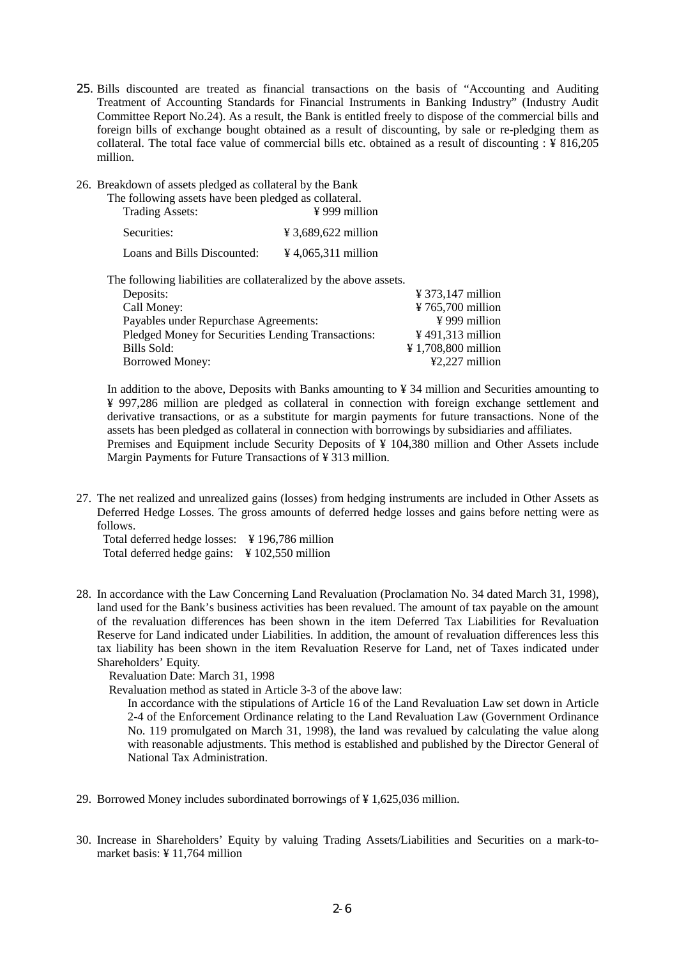- 25. Bills discounted are treated as financial transactions on the basis of "Accounting and Auditing Treatment of Accounting Standards for Financial Instruments in Banking Industry" (Industry Audit Committee Report No.24). As a result, the Bank is entitled freely to dispose of the commercial bills and foreign bills of exchange bought obtained as a result of discounting, by sale or re-pledging them as collateral. The total face value of commercial bills etc. obtained as a result of discounting : ¥ 816,205 million.
- 26. Breakdown of assets pledged as collateral by the Bank

| The following assets have been pledged as collateral. |                           |
|-------------------------------------------------------|---------------------------|
| <b>Trading Assets:</b>                                | $\frac{1}{2}$ 999 million |
| Securities:                                           | ¥ 3,689,622 million       |
| Loans and Bills Discounted:                           | ¥ 4,065,311 million       |
|                                                       |                           |

The following liabilities are collateralized by the above assets.

| $\frac{1}{2}$ 373,147 million               |
|---------------------------------------------|
| ¥ 765,700 million                           |
| $\frac{1}{2}$ 999 million                   |
| $\frac{1}{2}$ 491,313 million               |
| $\textnormal{\texttt{4}}$ 1,708,800 million |
| $\text{\textsterling}2,227$ million         |
|                                             |

In addition to the above, Deposits with Banks amounting to ¥ 34 million and Securities amounting to ¥ 997,286 million are pledged as collateral in connection with foreign exchange settlement and derivative transactions, or as a substitute for margin payments for future transactions. None of the assets has been pledged as collateral in connection with borrowings by subsidiaries and affiliates. Premises and Equipment include Security Deposits of ¥ 104,380 million and Other Assets include Margin Payments for Future Transactions of ¥ 313 million.

27. The net realized and unrealized gains (losses) from hedging instruments are included in Other Assets as Deferred Hedge Losses. The gross amounts of deferred hedge losses and gains before netting were as follows.

 Total deferred hedge losses: ¥ 196,786 million Total deferred hedge gains: ¥ 102,550 million

28. In accordance with the Law Concerning Land Revaluation (Proclamation No. 34 dated March 31, 1998), land used for the Bank's business activities has been revalued. The amount of tax payable on the amount of the revaluation differences has been shown in the item Deferred Tax Liabilities for Revaluation Reserve for Land indicated under Liabilities. In addition, the amount of revaluation differences less this tax liability has been shown in the item Revaluation Reserve for Land, net of Taxes indicated under Shareholders' Equity.

Revaluation Date: March 31, 1998

Revaluation method as stated in Article 3-3 of the above law:

In accordance with the stipulations of Article 16 of the Land Revaluation Law set down in Article 2-4 of the Enforcement Ordinance relating to the Land Revaluation Law (Government Ordinance No. 119 promulgated on March 31, 1998), the land was revalued by calculating the value along with reasonable adjustments. This method is established and published by the Director General of National Tax Administration.

- 29. Borrowed Money includes subordinated borrowings of ¥ 1,625,036 million.
- 30. Increase in Shareholders' Equity by valuing Trading Assets/Liabilities and Securities on a mark-tomarket basis: ¥ 11,764 million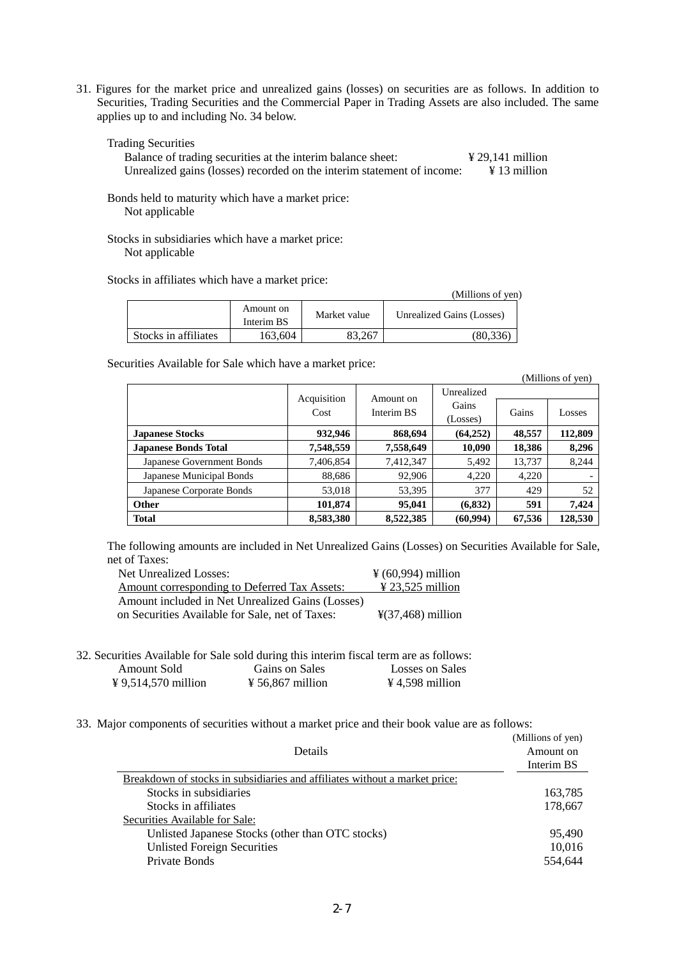31. Figures for the market price and unrealized gains (losses) on securities are as follows. In addition to Securities, Trading Securities and the Commercial Paper in Trading Assets are also included. The same applies up to and including No. 34 below.

Trading Securities

Balance of trading securities at the interim balance sheet:  $\frac{429,141 \text{ million}}{413 \text{ million}}$ Unrealized gains (losses) recorded on the interim statement of income:

Bonds held to maturity which have a market price: Not applicable

Stocks in subsidiaries which have a market price: Not applicable

Stocks in affiliates which have a market price:

|                      |                         |              | (Millions of yen)         |
|----------------------|-------------------------|--------------|---------------------------|
|                      | Amount on<br>Interim BS | Market value | Unrealized Gains (Losses) |
| Stocks in affiliates | 163.604                 | 83.267       | (80.336)                  |

Securities Available for Sale which have a market price:

|                             |             |                                 |            |        | (Millions of yen) |
|-----------------------------|-------------|---------------------------------|------------|--------|-------------------|
|                             |             |                                 | Unrealized |        |                   |
|                             | Acquisition | Amount on<br>Interim BS<br>Cost | Gains      |        |                   |
|                             |             |                                 | (Losses)   | Gains  | Losses            |
| <b>Japanese Stocks</b>      | 932,946     | 868,694                         | (64,252)   | 48,557 | 112,809           |
| <b>Japanese Bonds Total</b> | 7,548,559   | 7,558,649                       | 10,090     | 18,386 | 8,296             |
| Japanese Government Bonds   | 7,406,854   | 7,412,347                       | 5,492      | 13,737 | 8,244             |
| Japanese Municipal Bonds    | 88,686      | 92,906                          | 4,220      | 4,220  |                   |
| Japanese Corporate Bonds    | 53.018      | 53,395                          | 377        | 429    | 52                |
| <b>Other</b>                | 101,874     | 95,041                          | (6,832)    | 591    | 7,424             |
| <b>Total</b>                | 8,583,380   | 8,522,385                       | (60, 994)  | 67,536 | 128,530           |

The following amounts are included in Net Unrealized Gains (Losses) on Securities Available for Sale, net of Taxes:

| Net Unrealized Losses:                              | $\frac{1}{2}$ (60,994) million |
|-----------------------------------------------------|--------------------------------|
| <u>Amount corresponding to Deferred Tax Assets:</u> | $\angle 23.525$ million        |
| Amount included in Net Unrealized Gains (Losses)    |                                |
| on Securities Available for Sale, net of Taxes:     | $\frac{1}{2}(37,468)$ million  |

- 32. Securities Available for Sale sold during this interim fiscal term are as follows: Amount Sold<br>
Gains on Sales<br>
Gains on Sales<br>  $\frac{1}{2}$  Losses on Sales<br>  $\frac{1}{2}$  Gains on Sales<br>  $\frac{1}{2}$  Gains on Sales<br>  $\frac{1}{2}$  Gains  $\frac{1}{2}$  Gases on Sales  $\frac{1}{4}$  9,514,570 million  $\frac{1}{4}$  56,867 million
- 33. Major components of securities without a market price and their book value are as follows:

| <b>Details</b>                                                             | (Millions of yen)<br>Amount on<br>Interim BS |
|----------------------------------------------------------------------------|----------------------------------------------|
| Breakdown of stocks in subsidiaries and affiliates without a market price: |                                              |
| Stocks in subsidiaries                                                     | 163,785                                      |
| Stocks in affiliates                                                       | 178,667                                      |
| Securities Available for Sale:                                             |                                              |
| Unlisted Japanese Stocks (other than OTC stocks)                           | 95,490                                       |
| <b>Unlisted Foreign Securities</b>                                         | 10,016                                       |
| Private Bonds                                                              | 554,644                                      |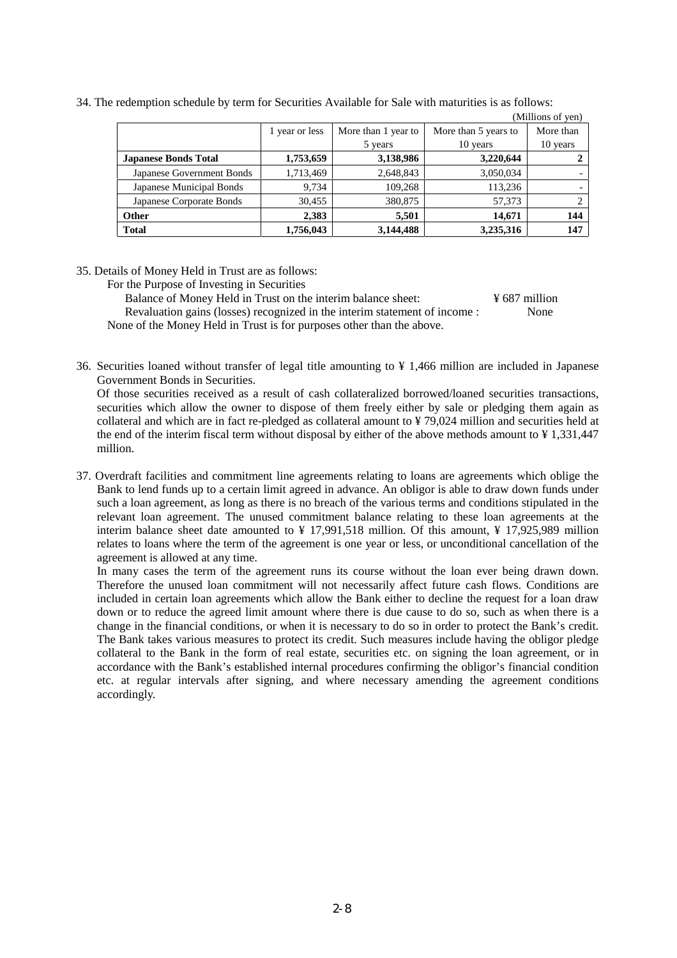|                             |                |                     |                      | (Millions of yen) |
|-----------------------------|----------------|---------------------|----------------------|-------------------|
|                             | 1 year or less | More than 1 year to | More than 5 years to | More than         |
|                             |                | 5 years             | 10 years             | 10 years          |
| <b>Japanese Bonds Total</b> | 1,753,659      | 3,138,986           | 3,220,644            |                   |
| Japanese Government Bonds   | 1,713,469      | 2,648,843           | 3,050,034            |                   |
| Japanese Municipal Bonds    | 9.734          | 109,268             | 113,236              |                   |
| Japanese Corporate Bonds    | 30,455         | 380,875             | 57,373               |                   |
| <b>Other</b>                | 2,383          | 5,501               | 14,671               | 144               |
| <b>Total</b>                | 1,756,043      | 3,144,488           | 3,235,316            | 147               |

34. The redemption schedule by term for Securities Available for Sale with maturities is as follows:

35. Details of Money Held in Trust are as follows:

For the Purpose of Investing in Securities

Balance of Money Held in Trust on the interim balance sheet: ¥ 687 million Revaluation gains (losses) recognized in the interim statement of income : None None of the Money Held in Trust is for purposes other than the above.

36. Securities loaned without transfer of legal title amounting to ¥ 1,466 million are included in Japanese Government Bonds in Securities.

Of those securities received as a result of cash collateralized borrowed/loaned securities transactions, securities which allow the owner to dispose of them freely either by sale or pledging them again as collateral and which are in fact re-pledged as collateral amount to ¥ 79,024 million and securities held at the end of the interim fiscal term without disposal by either of the above methods amount to ¥ 1,331,447 million.

37. Overdraft facilities and commitment line agreements relating to loans are agreements which oblige the Bank to lend funds up to a certain limit agreed in advance. An obligor is able to draw down funds under such a loan agreement, as long as there is no breach of the various terms and conditions stipulated in the relevant loan agreement. The unused commitment balance relating to these loan agreements at the interim balance sheet date amounted to  $\frac{1}{2}$  17,991,518 million. Of this amount,  $\frac{1}{2}$  17,925,989 million relates to loans where the term of the agreement is one year or less, or unconditional cancellation of the agreement is allowed at any time.

In many cases the term of the agreement runs its course without the loan ever being drawn down. Therefore the unused loan commitment will not necessarily affect future cash flows. Conditions are included in certain loan agreements which allow the Bank either to decline the request for a loan draw down or to reduce the agreed limit amount where there is due cause to do so, such as when there is a change in the financial conditions, or when it is necessary to do so in order to protect the Bank's credit. The Bank takes various measures to protect its credit. Such measures include having the obligor pledge collateral to the Bank in the form of real estate, securities etc. on signing the loan agreement, or in accordance with the Bank's established internal procedures confirming the obligor's financial condition etc. at regular intervals after signing, and where necessary amending the agreement conditions accordingly.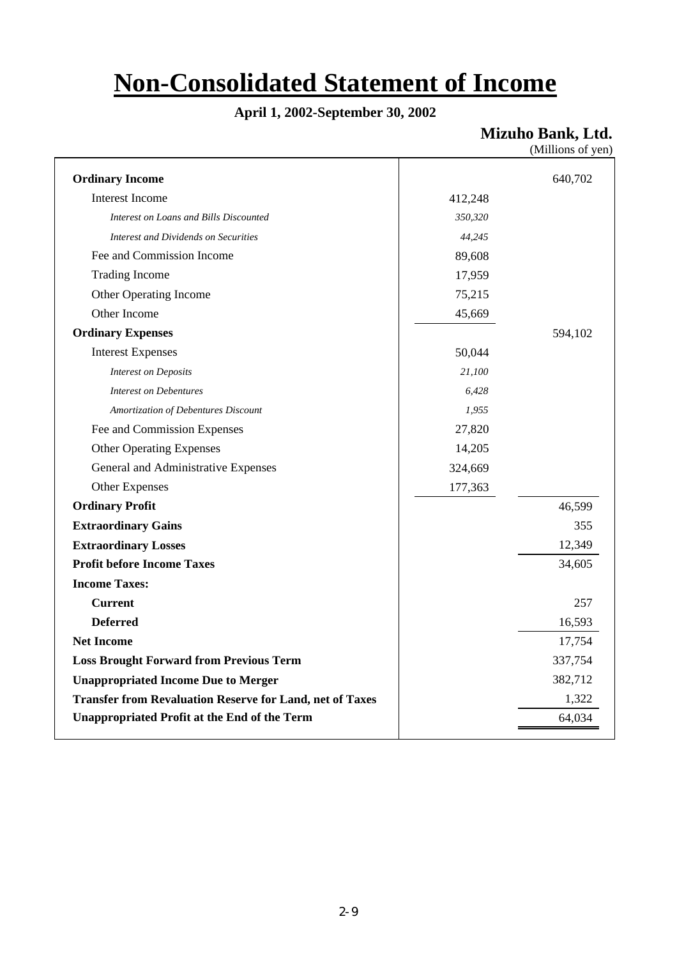# **Non-Consolidated Statement of Income**

# **April 1, 2002-September 30, 2002**

**Mizuho Bank, Ltd.**

| (Millions of yen) |  |
|-------------------|--|
|                   |  |

| <b>Ordinary Income</b>                                          |         | 640,702 |
|-----------------------------------------------------------------|---------|---------|
| Interest Income                                                 | 412,248 |         |
| Interest on Loans and Bills Discounted                          | 350,320 |         |
| Interest and Dividends on Securities                            | 44,245  |         |
| Fee and Commission Income                                       | 89,608  |         |
| <b>Trading Income</b>                                           | 17,959  |         |
| Other Operating Income                                          | 75,215  |         |
| Other Income                                                    | 45,669  |         |
| <b>Ordinary Expenses</b>                                        |         | 594,102 |
| <b>Interest Expenses</b>                                        | 50,044  |         |
| <b>Interest on Deposits</b>                                     | 21,100  |         |
| <b>Interest on Debentures</b>                                   | 6,428   |         |
| Amortization of Debentures Discount                             | 1,955   |         |
| Fee and Commission Expenses                                     | 27,820  |         |
| <b>Other Operating Expenses</b>                                 | 14,205  |         |
| General and Administrative Expenses                             | 324,669 |         |
| Other Expenses                                                  | 177,363 |         |
| <b>Ordinary Profit</b>                                          |         | 46,599  |
| <b>Extraordinary Gains</b>                                      |         | 355     |
| <b>Extraordinary Losses</b>                                     |         | 12,349  |
| <b>Profit before Income Taxes</b>                               |         | 34,605  |
| <b>Income Taxes:</b>                                            |         |         |
| <b>Current</b>                                                  |         | 257     |
| <b>Deferred</b>                                                 |         | 16,593  |
| <b>Net Income</b>                                               |         | 17,754  |
| <b>Loss Brought Forward from Previous Term</b>                  |         | 337,754 |
| <b>Unappropriated Income Due to Merger</b>                      |         | 382,712 |
| <b>Transfer from Revaluation Reserve for Land, net of Taxes</b> |         | 1,322   |
| <b>Unappropriated Profit at the End of the Term</b>             |         | 64,034  |
|                                                                 |         |         |